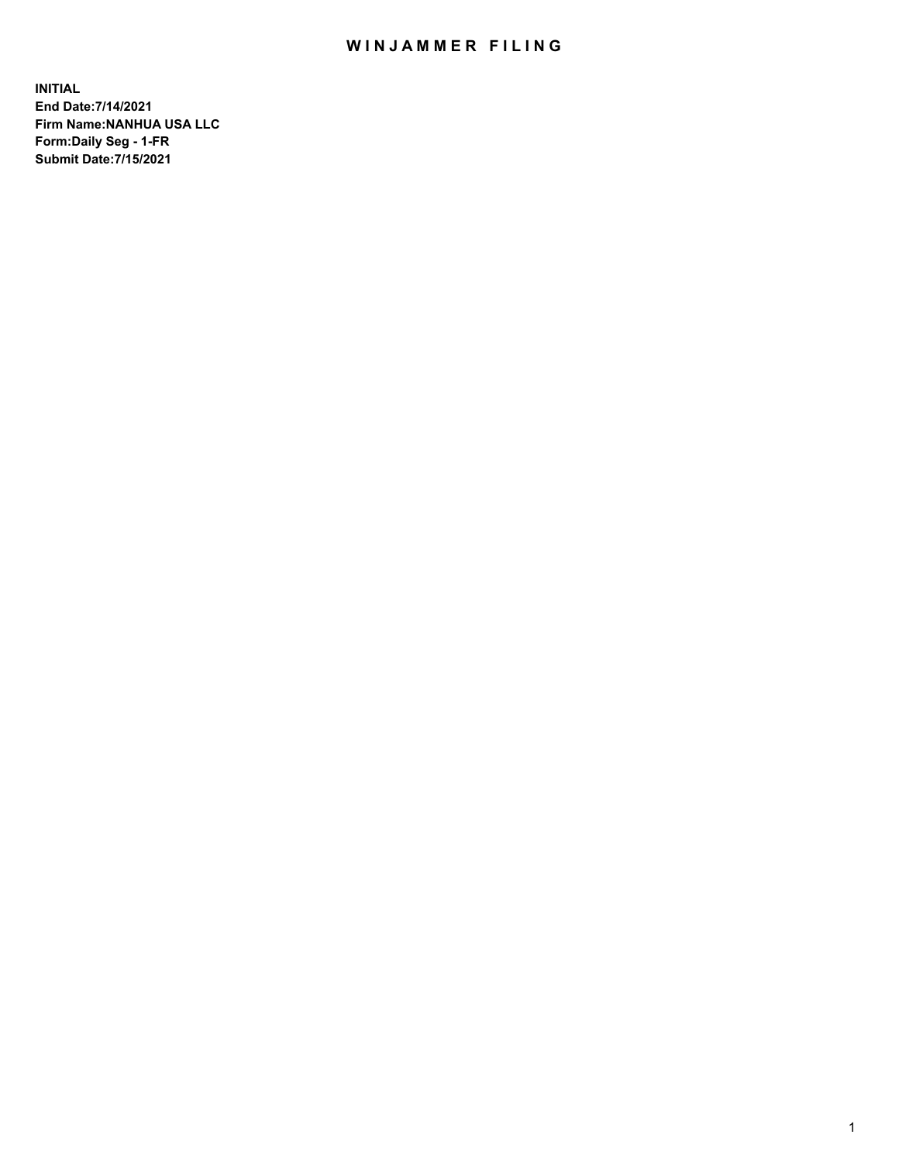## WIN JAMMER FILING

**INITIAL End Date:7/14/2021 Firm Name:NANHUA USA LLC Form:Daily Seg - 1-FR Submit Date:7/15/2021**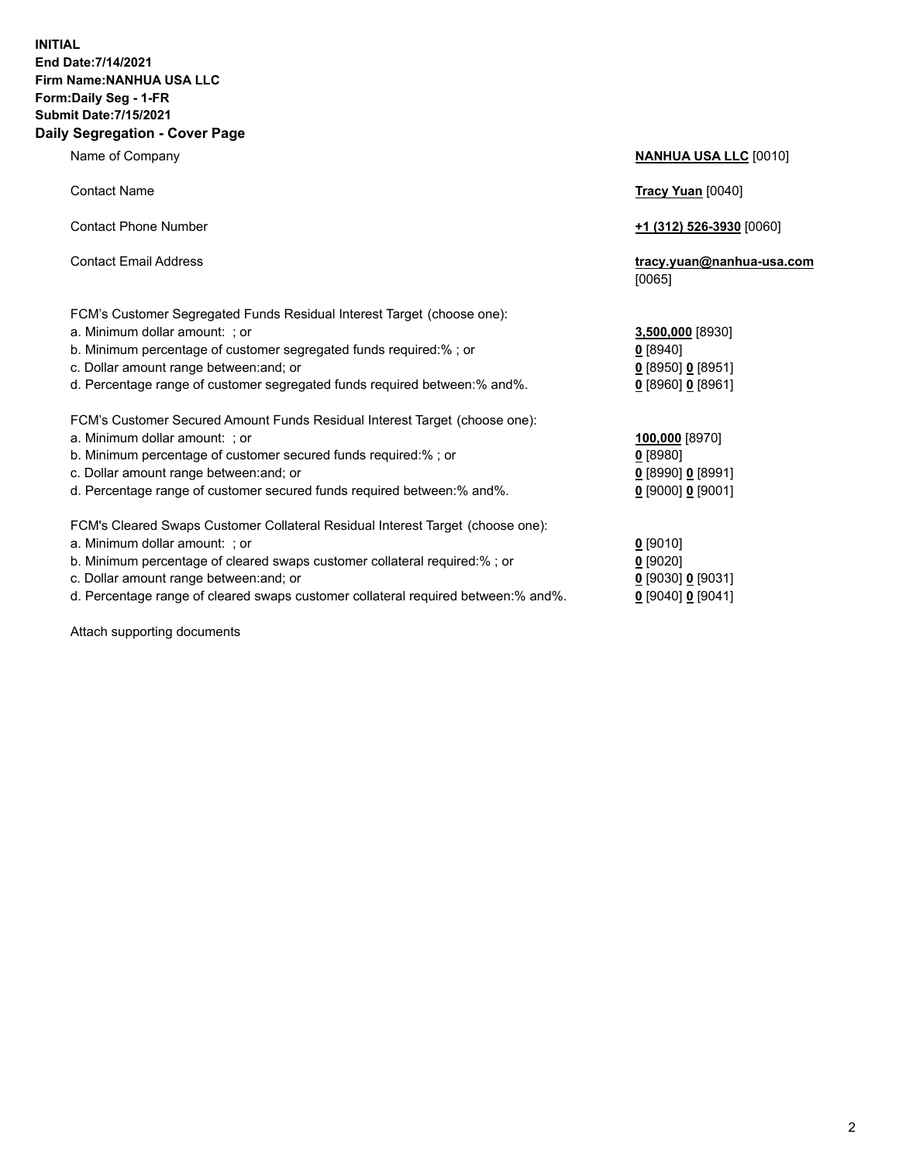## **INITIAL End Date:7/14/2021 Firm Name:NANHUA USA LLC Form:Daily Seg - 1-FR Submit Date:7/15/2021 Daily Segregation - Cover Page**

Name of Company **NANHUA USA LLC** [0010] Contact Name **Tracy Yuan** [0040] Contact Phone Number **+1 (312) 526-3930** [0060] Contact Email Address **tracy.yuan@nanhua-usa.com** [0065] FCM's Customer Segregated Funds Residual Interest Target (choose one): a. Minimum dollar amount: ; or **3,500,000** [8930] b. Minimum percentage of customer segregated funds required:% ; or **0** [8940] c. Dollar amount range between:and; or **0** [8950] **0** [8951] d. Percentage range of customer segregated funds required between:% and%. **0** [8960] **0** [8961] FCM's Customer Secured Amount Funds Residual Interest Target (choose one): a. Minimum dollar amount: ; or **100,000** [8970] b. Minimum percentage of customer secured funds required:% ; or **0** [8980] c. Dollar amount range between:and; or **0** [8990] **0** [8991] d. Percentage range of customer secured funds required between:% and%. **0** [9000] **0** [9001] FCM's Cleared Swaps Customer Collateral Residual Interest Target (choose one): a. Minimum dollar amount: ; or **0** [9010] b. Minimum percentage of cleared swaps customer collateral required:% ; or **0** [9020] c. Dollar amount range between:and; or **0** [9030] **0** [9031]

d. Percentage range of cleared swaps customer collateral required between:% and%. **0** [9040] **0** [9041]

Attach supporting documents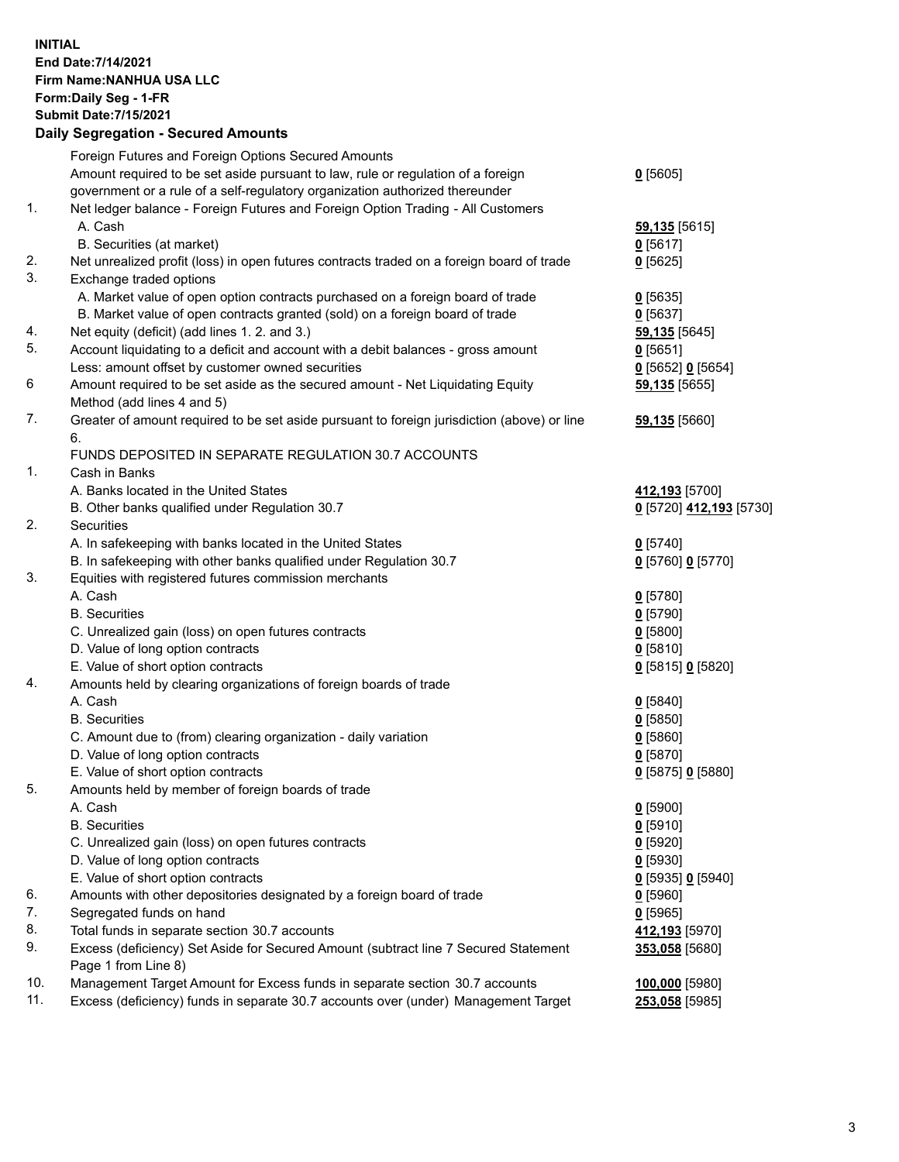## **INITIAL End Date:7/14/2021 Firm Name:NANHUA USA LLC Form:Daily Seg - 1-FR Submit Date:7/15/2021**

|     | <b>Daily Segregation - Secured Amounts</b>                                                  |                         |
|-----|---------------------------------------------------------------------------------------------|-------------------------|
|     | Foreign Futures and Foreign Options Secured Amounts                                         |                         |
|     | Amount required to be set aside pursuant to law, rule or regulation of a foreign            | 0[5605]                 |
|     | government or a rule of a self-regulatory organization authorized thereunder                |                         |
| 1.  | Net ledger balance - Foreign Futures and Foreign Option Trading - All Customers             |                         |
|     | A. Cash                                                                                     | <b>59,135</b> [5615]    |
|     | B. Securities (at market)                                                                   | $0$ [5617]              |
| 2.  | Net unrealized profit (loss) in open futures contracts traded on a foreign board of trade   | $0$ [5625]              |
| 3.  | Exchange traded options                                                                     |                         |
|     | A. Market value of open option contracts purchased on a foreign board of trade              | $0$ [5635]              |
|     | B. Market value of open contracts granted (sold) on a foreign board of trade                | $0$ [5637]              |
| 4.  | Net equity (deficit) (add lines 1. 2. and 3.)                                               | 59,135 [5645]           |
| 5.  | Account liquidating to a deficit and account with a debit balances - gross amount           | $0$ [5651]              |
|     | Less: amount offset by customer owned securities                                            | $0$ [5652] $0$ [5654]   |
| 6   | Amount required to be set aside as the secured amount - Net Liquidating Equity              | 59,135 [5655]           |
|     | Method (add lines 4 and 5)                                                                  |                         |
| 7.  | Greater of amount required to be set aside pursuant to foreign jurisdiction (above) or line | 59,135 [5660]           |
|     | 6.                                                                                          |                         |
|     | FUNDS DEPOSITED IN SEPARATE REGULATION 30.7 ACCOUNTS                                        |                         |
| 1.  | Cash in Banks                                                                               |                         |
|     | A. Banks located in the United States                                                       | 412,193 [5700]          |
|     | B. Other banks qualified under Regulation 30.7                                              | 0 [5720] 412,193 [5730] |
| 2.  | Securities                                                                                  |                         |
|     | A. In safekeeping with banks located in the United States                                   | $0$ [5740]              |
|     | B. In safekeeping with other banks qualified under Regulation 30.7                          | 0 [5760] 0 [5770]       |
| 3.  | Equities with registered futures commission merchants                                       |                         |
|     | A. Cash                                                                                     | $0$ [5780]              |
|     | <b>B.</b> Securities                                                                        | $0$ [5790]              |
|     | C. Unrealized gain (loss) on open futures contracts                                         | $0$ [5800]              |
|     | D. Value of long option contracts                                                           | 0[5810]                 |
|     | E. Value of short option contracts                                                          | 0 [5815] 0 [5820]       |
| 4.  | Amounts held by clearing organizations of foreign boards of trade                           |                         |
|     | A. Cash                                                                                     | $0$ [5840]              |
|     | <b>B.</b> Securities                                                                        | $0$ [5850]              |
|     | C. Amount due to (from) clearing organization - daily variation                             | 0[5860]                 |
|     | D. Value of long option contracts                                                           | $0$ [5870]              |
|     | E. Value of short option contracts                                                          | 0 [5875] 0 [5880]       |
| 5.  | Amounts held by member of foreign boards of trade                                           |                         |
|     | A. Cash                                                                                     | $0$ [5900]              |
|     | <b>B.</b> Securities                                                                        | $0$ [5910]              |
|     | C. Unrealized gain (loss) on open futures contracts                                         | $0$ [5920]              |
|     | D. Value of long option contracts                                                           | $0$ [5930]              |
|     | E. Value of short option contracts                                                          | 0 [5935] 0 [5940]       |
| 6.  | Amounts with other depositories designated by a foreign board of trade                      | $0$ [5960]              |
| 7.  | Segregated funds on hand                                                                    | $0$ [5965]              |
| 8.  | Total funds in separate section 30.7 accounts                                               | 412,193 [5970]          |
| 9.  | Excess (deficiency) Set Aside for Secured Amount (subtract line 7 Secured Statement         | 353,058 [5680]          |
|     | Page 1 from Line 8)                                                                         |                         |
| 10. | Management Target Amount for Excess funds in separate section 30.7 accounts                 | 100,000 [5980]          |
| 11. | Excess (deficiency) funds in separate 30.7 accounts over (under) Management Target          | <b>253,058</b> [5985]   |
|     |                                                                                             |                         |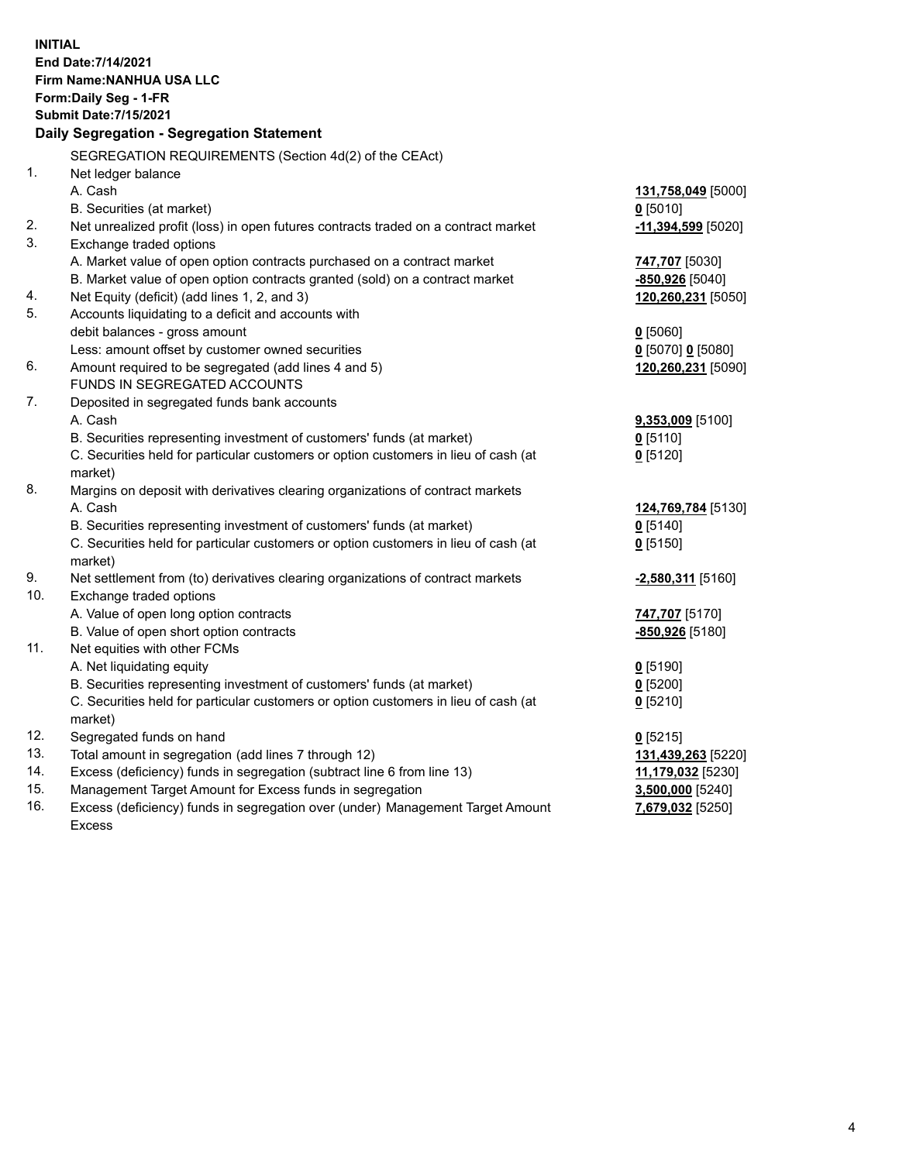| <b>INITIAL</b><br>End Date: 7/14/2021<br>Firm Name: NANHUA USA LLC<br>Form: Daily Seg - 1-FR<br><b>Submit Date: 7/15/2021</b><br>Daily Segregation - Segregation Statement |                                                                                                |                      |  |  |
|----------------------------------------------------------------------------------------------------------------------------------------------------------------------------|------------------------------------------------------------------------------------------------|----------------------|--|--|
|                                                                                                                                                                            | SEGREGATION REQUIREMENTS (Section 4d(2) of the CEAct)                                          |                      |  |  |
| 1.                                                                                                                                                                         | Net ledger balance                                                                             |                      |  |  |
|                                                                                                                                                                            | A. Cash                                                                                        | 131,758,049 [5000]   |  |  |
|                                                                                                                                                                            | B. Securities (at market)                                                                      | $0$ [5010]           |  |  |
| 2.                                                                                                                                                                         | Net unrealized profit (loss) in open futures contracts traded on a contract market             | $-11,394,599$ [5020] |  |  |
| 3.                                                                                                                                                                         | Exchange traded options                                                                        |                      |  |  |
|                                                                                                                                                                            | A. Market value of open option contracts purchased on a contract market                        | 747,707 [5030]       |  |  |
|                                                                                                                                                                            | B. Market value of open option contracts granted (sold) on a contract market                   | -850,926 [5040]      |  |  |
| 4.                                                                                                                                                                         | Net Equity (deficit) (add lines 1, 2, and 3)                                                   | 120,260,231 [5050]   |  |  |
| 5.                                                                                                                                                                         | Accounts liquidating to a deficit and accounts with                                            |                      |  |  |
|                                                                                                                                                                            | debit balances - gross amount                                                                  | $0$ [5060]           |  |  |
|                                                                                                                                                                            | Less: amount offset by customer owned securities                                               | 0 [5070] 0 [5080]    |  |  |
| 6.                                                                                                                                                                         | Amount required to be segregated (add lines 4 and 5)                                           | 120,260,231 [5090]   |  |  |
|                                                                                                                                                                            | FUNDS IN SEGREGATED ACCOUNTS                                                                   |                      |  |  |
| 7.                                                                                                                                                                         | Deposited in segregated funds bank accounts                                                    |                      |  |  |
|                                                                                                                                                                            | A. Cash                                                                                        | $9,353,009$ [5100]   |  |  |
|                                                                                                                                                                            | B. Securities representing investment of customers' funds (at market)                          | $0$ [5110]           |  |  |
|                                                                                                                                                                            | C. Securities held for particular customers or option customers in lieu of cash (at<br>market) | $0$ [5120]           |  |  |
| 8.                                                                                                                                                                         | Margins on deposit with derivatives clearing organizations of contract markets                 |                      |  |  |
|                                                                                                                                                                            | A. Cash                                                                                        | 124,769,784 [5130]   |  |  |
|                                                                                                                                                                            | B. Securities representing investment of customers' funds (at market)                          | $0$ [5140]           |  |  |
|                                                                                                                                                                            | C. Securities held for particular customers or option customers in lieu of cash (at            | $0$ [5150]           |  |  |
|                                                                                                                                                                            | market)                                                                                        |                      |  |  |
| 9.                                                                                                                                                                         | Net settlement from (to) derivatives clearing organizations of contract markets                | -2,580,311 [5160]    |  |  |
| 10.                                                                                                                                                                        | Exchange traded options                                                                        |                      |  |  |
|                                                                                                                                                                            | A. Value of open long option contracts                                                         | 747,707 [5170]       |  |  |
|                                                                                                                                                                            | B. Value of open short option contracts                                                        | -850,926 [5180]      |  |  |
| 11.                                                                                                                                                                        | Net equities with other FCMs                                                                   |                      |  |  |
|                                                                                                                                                                            | A. Net liquidating equity                                                                      | $0$ [5190]           |  |  |
|                                                                                                                                                                            | B. Securities representing investment of customers' funds (at market)                          | $0$ [5200]           |  |  |
|                                                                                                                                                                            | C. Securities held for particular customers or option customers in lieu of cash (at            | $0$ [5210]           |  |  |
|                                                                                                                                                                            | market)                                                                                        |                      |  |  |
| 12.                                                                                                                                                                        | Segregated funds on hand                                                                       | $0$ [5215]           |  |  |
| 13.                                                                                                                                                                        | Total amount in segregation (add lines 7 through 12)                                           | 131,439,263 [5220]   |  |  |
| 14.                                                                                                                                                                        | Excess (deficiency) funds in segregation (subtract line 6 from line 13)                        | 11,179,032 [5230]    |  |  |
| 15.                                                                                                                                                                        | Management Target Amount for Excess funds in segregation                                       | 3,500,000 [5240]     |  |  |
| 16.                                                                                                                                                                        | Excess (deficiency) funds in segregation over (under) Management Target Amount                 | 7,679,032 [5250]     |  |  |
|                                                                                                                                                                            | <b>Excess</b>                                                                                  |                      |  |  |